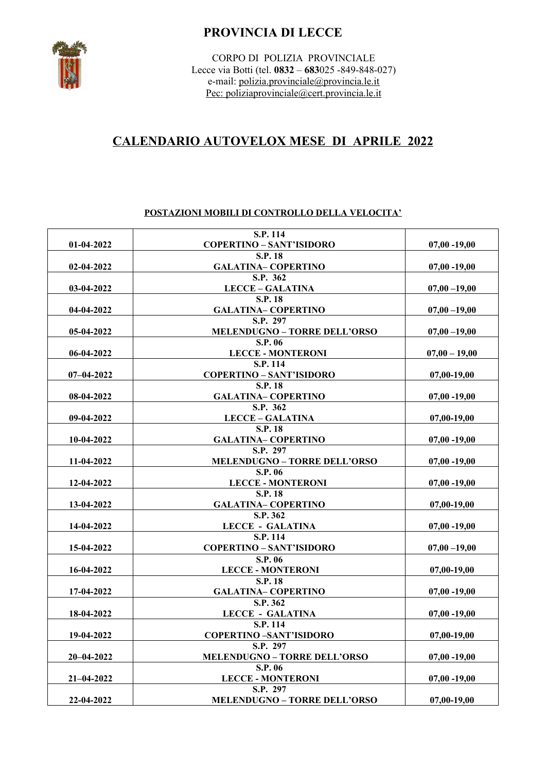# **PROVINCIA DI LECCE**



CORPO DI POLIZIA PROVINCIALE Lecce via Botti (tel. **0832** – **683**025 -849-848-027) e-mail: [polizia.provinciale@provincia.le.it](mailto:polizia.provinciale@provincia.le.it) Pec: polizi[a provinciale@cert.provincia.le.it](mailto:provinciale@cert.provincia.le.it)

# **CALENDARIO AUTOVELOX MESE DI APRILE 2022**

## **POSTAZIONI MOBILI DI CONTROLLO DELLA VELOCITA'**

|                  | S.P. 114                                   |                 |
|------------------|--------------------------------------------|-----------------|
| $01-04-2022$     | <b>COPERTINO - SANT'ISIDORO</b>            | $07,00 - 19,00$ |
|                  | <b>S.P. 18</b>                             |                 |
| 02-04-2022       | <b>GALATINA- COPERTINO</b>                 | $07,00 - 19,00$ |
|                  | S.P. 362                                   |                 |
| 03-04-2022       | <b>LECCE - GALATINA</b>                    | $07,00 - 19,00$ |
|                  | S.P. 18                                    |                 |
| 04-04-2022       | <b>GALATINA-COPERTINO</b>                  | $07,00 - 19,00$ |
|                  | S.P. 297                                   |                 |
| 05-04-2022       | <b>MELENDUGNO - TORRE DELL'ORSO</b>        | $07,00 - 19,00$ |
|                  | S.P. 06                                    |                 |
| 06-04-2022       | <b>LECCE - MONTERONI</b>                   | $07,00 - 19,00$ |
|                  | S.P. 114                                   |                 |
| $07 - 04 - 2022$ | <b>COPERTINO - SANT'ISIDORO</b>            | $07,00-19,00$   |
|                  | S.P. 18                                    |                 |
| 08-04-2022       | <b>GALATINA-COPERTINO</b>                  | $07,00 - 19,00$ |
|                  | S.P. 362                                   |                 |
| 09-04-2022       | <b>LECCE - GALATINA</b>                    | 07,00-19,00     |
|                  | S.P. 18                                    |                 |
| 10-04-2022       | <b>GALATINA-COPERTINO</b>                  | $07,00 - 19,00$ |
|                  | S.P. 297                                   |                 |
| 11-04-2022       | <b>MELENDUGNO - TORRE DELL'ORSO</b>        | $07,00 - 19,00$ |
|                  | S.P. 06                                    |                 |
| 12-04-2022       | <b>LECCE - MONTERONI</b>                   | $07,00 - 19,00$ |
|                  | S.P. 18                                    |                 |
| 13-04-2022       | <b>GALATINA-COPERTINO</b>                  | 07.00-19.00     |
|                  | S.P. 362                                   |                 |
| 14-04-2022       | <b>LECCE - GALATINA</b><br><b>S.P. 114</b> | $07,00 - 19,00$ |
| 15-04-2022       | <b>COPERTINO - SANT'ISIDORO</b>            |                 |
|                  |                                            | $07,00 - 19,00$ |
|                  | S.P. 06                                    |                 |
| 16-04-2022       | <b>LECCE - MONTERONI</b>                   | $07,00-19,00$   |
|                  | <b>S.P. 18</b>                             |                 |
| 17-04-2022       | <b>GALATINA- COPERTINO</b><br>S.P. 362     | $07,00 - 19,00$ |
|                  | <b>LECCE - GALATINA</b>                    |                 |
| 18-04-2022       | S.P. 114                                   | $07,00 - 19,00$ |
| 19-04-2022       | <b>COPERTINO-SANT'ISIDORO</b>              |                 |
|                  | S.P. 297                                   | $07,00-19,00$   |
| $20 - 04 - 2022$ | <b>MELENDUGNO - TORRE DELL'ORSO</b>        | $07,00 - 19,00$ |
|                  | S.P. 06                                    |                 |
| $21 - 04 - 2022$ | <b>LECCE - MONTERONI</b>                   | $07,00 - 19,00$ |
|                  | S.P. 297                                   |                 |
| 22-04-2022       | <b>MELENDUGNO - TORRE DELL'ORSO</b>        | 07,00-19,00     |
|                  |                                            |                 |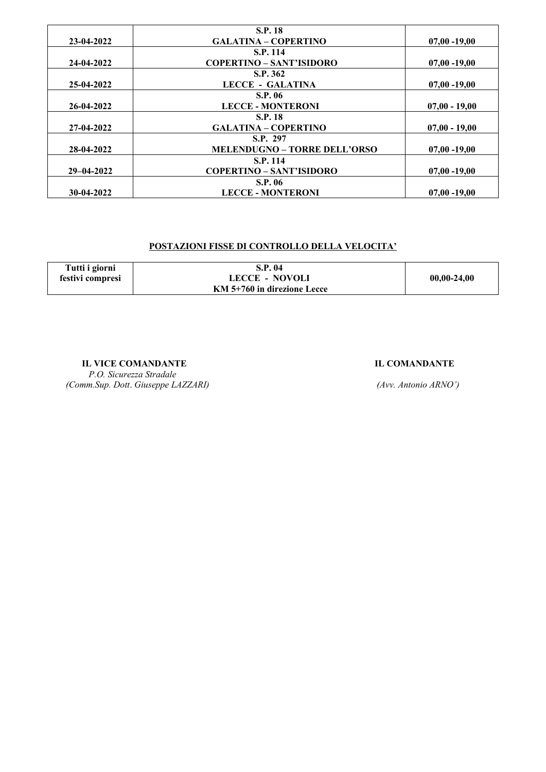|                  | <b>S.P. 18</b>                  |                 |
|------------------|---------------------------------|-----------------|
| 23-04-2022       | <b>GALATINA - COPERTINO</b>     | $07,00 - 19,00$ |
|                  | S.P. 114                        |                 |
| 24-04-2022       | <b>COPERTINO - SANT'ISIDORO</b> | $07,00 - 19,00$ |
|                  | S.P. 362                        |                 |
| 25-04-2022       | <b>LECCE - GALATINA</b>         | $07,00 - 19,00$ |
|                  | <b>S.P. 06</b>                  |                 |
| 26-04-2022       | <b>LECCE - MONTERONI</b>        | $07,00 - 19,00$ |
|                  | <b>S.P. 18</b>                  |                 |
| 27-04-2022       | <b>GALATINA - COPERTINO</b>     | $07,00 - 19,00$ |
|                  | S.P. 297                        |                 |
| 28-04-2022       | MELENDUGNO - TORRE DELL'ORSO    | $07,00 - 19,00$ |
|                  | <b>S.P. 114</b>                 |                 |
| $29 - 04 - 2022$ | <b>COPERTINO - SANT'ISIDORO</b> | $07,00 - 19,00$ |
|                  | <b>S.P. 06</b>                  |                 |
| 30-04-2022       | <b>LECCE - MONTERONI</b>        | $07,00 - 19,00$ |

## **POSTAZIONI FISSE DI CONTROLLO DELLA VELOCITA'**

| Tutti i giorni   | <b>S.P. 04</b>              |               |
|------------------|-----------------------------|---------------|
| festivi compresi | <b>LECCE - NOVOLI</b>       | $00,00-24,00$ |
|                  | KM 5+760 in direzione Lecce |               |

**IL VICE COMANDANTE IL COMANDANTE** 

 *P.O. Sicurezza Stradale (Comm.Sup. Dott*. *Giuseppe LAZZARI) (Avv. Antonio ARNO')*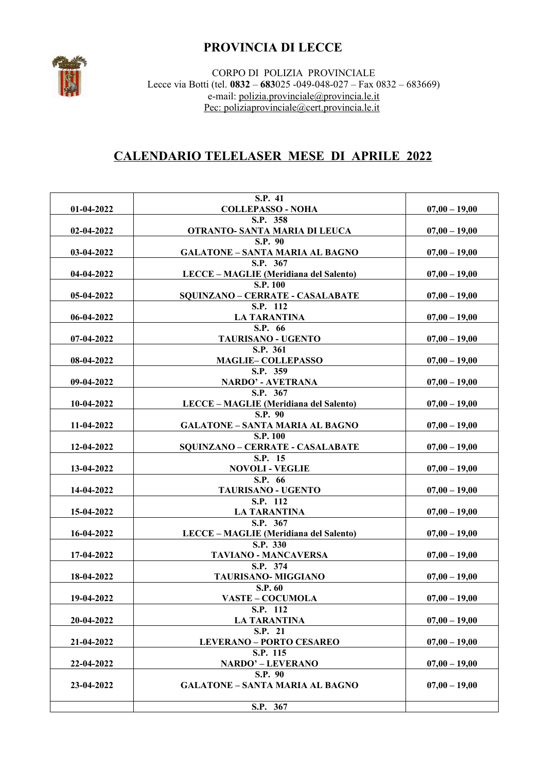# **PROVINCIA DI LECCE**



CORPO DI POLIZIA PROVINCIALE Lecce via Botti (tel. **0832** – **683**025 -049-048-027 – Fax 0832 – 683669) e-mail: [polizia.provinciale@provincia.le.it](mailto:polizia.provinciale@provincia.le.it) Pec: polizi[a provinciale@cert.provincia.le.it](mailto:provinciale@cert.provincia.le.it)

# **CALENDARIO TELELASER MESE DI APRILE 2022**

| 01-04-2022   | S.P. 41<br><b>COLLEPASSO - NOHA</b>     | $07,00 - 19,00$ |
|--------------|-----------------------------------------|-----------------|
|              |                                         |                 |
|              | S.P. 358                                |                 |
| 02-04-2022   | OTRANTO- SANTA MARIA DI LEUCA           | $07,00 - 19,00$ |
|              | <b>S.P. 90</b>                          |                 |
| 03-04-2022   | <b>GALATONE - SANTA MARIA AL BAGNO</b>  | $07,00 - 19,00$ |
|              | S.P. 367                                |                 |
| 04-04-2022   | LECCE – MAGLIE (Meridiana del Salento)  | $07,00 - 19,00$ |
|              | S.P. 100                                |                 |
| 05-04-2022   | <b>SQUINZANO - CERRATE - CASALABATE</b> | $07,00 - 19,00$ |
|              | S.P. 112                                |                 |
| 06-04-2022   | <b>LA TARANTINA</b>                     | $07,00 - 19,00$ |
|              | S.P. 66                                 |                 |
| $07-04-2022$ | TAURISANO - UGENTO                      | $07,00 - 19,00$ |
|              | S.P. 361                                |                 |
| 08-04-2022   | <b>MAGLIE-COLLEPASSO</b>                | $07,00 - 19,00$ |
|              | S.P. 359                                |                 |
| 09-04-2022   | <b>NARDO' - AVETRANA</b>                | $07,00 - 19,00$ |
|              | S.P. 367                                |                 |
| 10-04-2022   | LECCE - MAGLIE (Meridiana del Salento)  | $07,00 - 19,00$ |
|              | S.P. 90                                 |                 |
|              |                                         |                 |
| 11-04-2022   | <b>GALATONE - SANTA MARIA AL BAGNO</b>  | $07,00 - 19,00$ |
|              | <b>S.P. 100</b>                         |                 |
| 12-04-2022   | <b>SQUINZANO - CERRATE - CASALABATE</b> | $07,00 - 19,00$ |
|              | S.P. 15                                 |                 |
| 13-04-2022   | <b>NOVOLI - VEGLIE</b>                  | $07,00 - 19,00$ |
|              | S.P. 66                                 |                 |
| 14-04-2022   | TAURISANO - UGENTO                      | $07,00 - 19,00$ |
|              | S.P. 112                                |                 |
| 15-04-2022   | <b>LA TARANTINA</b>                     | $07,00 - 19,00$ |
|              | S.P. 367                                |                 |
| 16-04-2022   | LECCE - MAGLIE (Meridiana del Salento)  | $07,00 - 19,00$ |
|              | S.P. 330                                |                 |
| 17-04-2022   | <b>TAVIANO - MANCAVERSA</b>             | $07,00 - 19,00$ |
|              | S.P. 374                                |                 |
| 18-04-2022   | TAURISANO-MIGGIANO                      | $07,00 - 19,00$ |
|              | S.P. 60                                 |                 |
| 19-04-2022   | <b>VASTE - COCUMOLA</b>                 | $07,00 - 19,00$ |
|              | S.P. 112                                |                 |
| 20-04-2022   | <b>LA TARANTINA</b>                     | $07,00 - 19,00$ |
|              |                                         |                 |
|              | S.P. 21                                 |                 |
| 21-04-2022   | <b>LEVERANO - PORTO CESAREO</b>         | $07,00 - 19,00$ |
|              | S.P. 115                                |                 |
| 22-04-2022   | <b>NARDO' - LEVERANO</b>                | $07,00 - 19,00$ |
|              | S.P. 90                                 |                 |
| 23-04-2022   | <b>GALATONE - SANTA MARIA AL BAGNO</b>  | $07,00 - 19,00$ |
|              |                                         |                 |
|              | S.P. 367                                |                 |